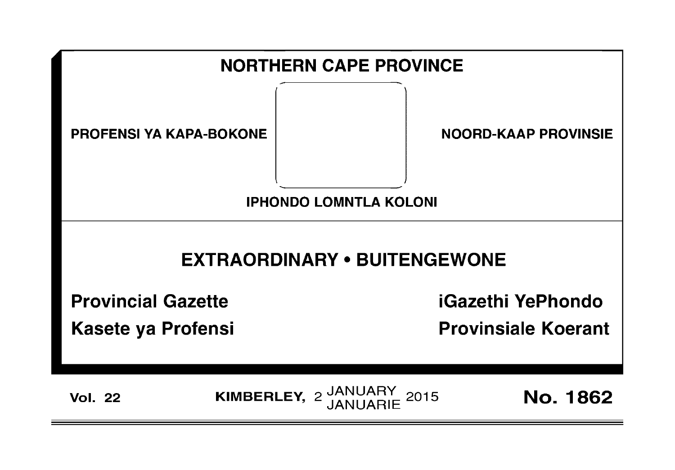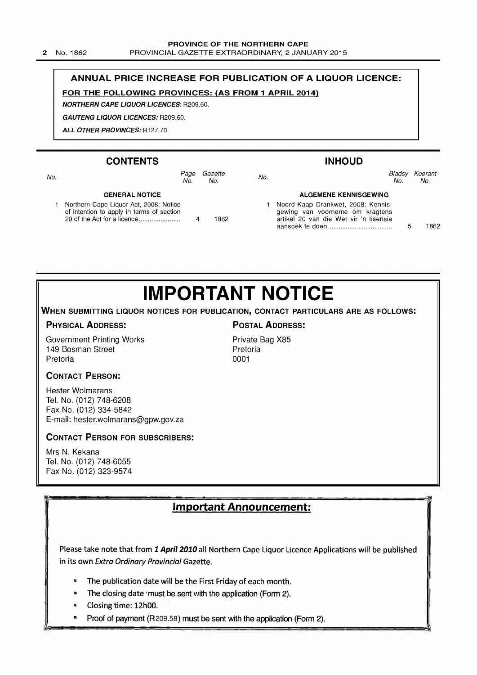PROVINCIAL GAZETTE EXTRAORDINARY, 2 JANUARY 2015

### ANNUAL PRICE INCREASE FOR PUBLICATION OF A LIQUOR LICENCE:

### FOR THE FOLLOWING PROVINCES: (AS FROM 1 APRIL 2014)

NORTHERN CAPE LIQUOR LICENCES: R209.60.

GAUTENG LIQUOR LICENCES: R209.60.

ALL OTHER PROVINCES: R127.70.

|     | <b>CONTENTS</b>                                                                     |                |     | <b>INHOUD</b>                                                                                                   |               |                |
|-----|-------------------------------------------------------------------------------------|----------------|-----|-----------------------------------------------------------------------------------------------------------------|---------------|----------------|
| No. | Page<br>No.                                                                         | Gazette<br>No. | No. |                                                                                                                 | Bladsy<br>No. | Koerant<br>No. |
|     | <b>GENERAL NOTICE</b>                                                               |                |     | <b>ALGEMENE KENNISGEWING</b>                                                                                    |               |                |
|     | Northern Cape Liquor Act, 2008: Notice<br>of intention to apply in terms of section | 1862           |     | Noord-Kaap Drankwet, 2008: Kennis-<br>gewing van voorneme om kragtens<br>artikel 20 van die Wet vir 'n lisensie |               | 1862           |

# **IMPORTANT NOTICE**

WHEN SUBMITTING LIQUOR NOTICES FOR PUBLICATION, CONTACT PARTICULARS ARE AS FOLLOWS:

### PHYSICAL ADDRESS: PHYSICAL ADDRESS:

Government Printing Works 149 Bosman Street Pretoria

Private Bag X85 Pretoria 0001

### CONTACT PERSON:

Hester Wolmarans Tel. No. (012) 748-6208 Fax No. (012) 334-5842 E-mail: hester.wolmarans@gpw.gov.za

### CONTACT PERSON FOR SUBSCRIBERS:

Mrs N. Kekana Tel. No. (012) 748-6055 Fax No. (012) 323-9574

Important Announcement:

Please take note that from 1 April 2010 all Northern Cape Liquor Licence Applications will be published in its own Extra Ordinary Provincial Gazette.

- '" The publication date will be the First Friday of each month.
- **m** The closing date must be sent with the application (Form 2).
- '" Closing time: 12hOO.
- **i** Proof of payment (R209:58) must be sent with the application (Form 2).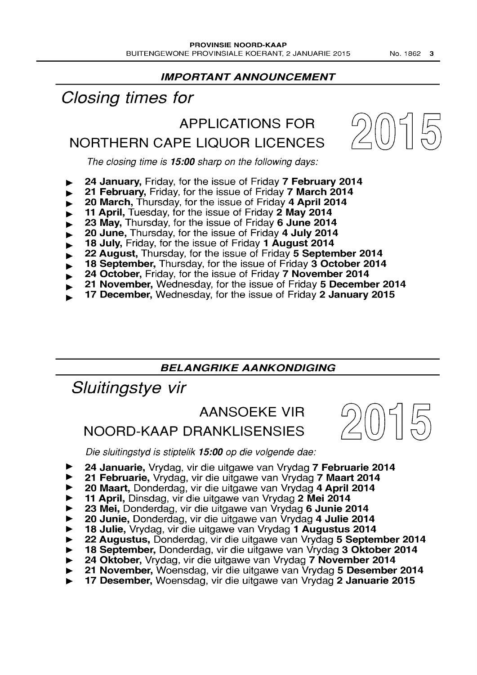### IMPORTANT ANNOUNCEMENT

# Closing times for

# APPLICATIONS FOR



The closing time is 15:00 sharp on the following days:

NORTHERN CAPE LIQUOR LICENCES

- 24 January, Friday, for the issue of Friday 7 February 2014
- 21 February, Friday, for the issue of Friday 7 March 2014
- 20 March, Thursday, for the issue of Friday 4 April 2014
- 11 April, Tuesday, for the issue of Friday 2 May 2014
- 23 May, Thursday, for the issue of Friday 6 June 2014
- 20 June, Thursday, for the issue of Friday 4 July 2014
- 18 July, Friday, for the issue of Friday 1 August 2014
- 22 August, Thursday, for the issue of Friday 5 September 2014
- 18 September, Thursday, for the issue of Friday 3 October 2014
- 24 October, Friday, for the issue of Friday 7 November 2014
- 21 November, Wednesday, for the issue of Friday 5 December 2014
- 17 December, Wednesday, for the issue of Friday  $2$  January 2015

### BELANGRIKE AANKONDIGING

Sluitingstye vir

# AANSOEKE VIR

# NOORD-KAAP DRANKLISENSIES



Die sluitingstyd is stiptelik 15:00 op die volgende dae:

- 24 Januarie, Vrydag, vir die uitgawe van Vrydag 7 Februarie 2014
- 21 Februarie, Vrydag, vir die uitgawe van Vrydag 7 Maart 2014
- 20 Maart, Donderdag, vir die uitgawe van Vrydag 4 April 2014
- 11 April, Dinsdag, vir die uitgawe van Vrydag 2 Mei 2014
- <sup>~</sup>23 Mei, Donderdag, vir die uitgawe van Vrydag 6 Junie 2014
- 20 Junie, Donderdag, vir die uitgawe van Vrydag 4 Julie 2014
- 18 Julie, Vrydag, vir die uitgawe van Vrydag 1 Augustus 2014
- 22 Augustus, Donderdag, vir die uitgawe van Vrydag 5 September 2014
- 18 September, Donderdag, vir die uitgawe van Vrydag 3 Oktober 2014
- 24 Oktober, Vrydag, vir die uitgawe van Vrydag 7 November 2014
- 21 November, Woensdag, vir die uitgawe van Vrydag 5 Desember 2014
- 17 Desember, Woensdag, vir die uitgawe van Vrydag 2 Januarie 2015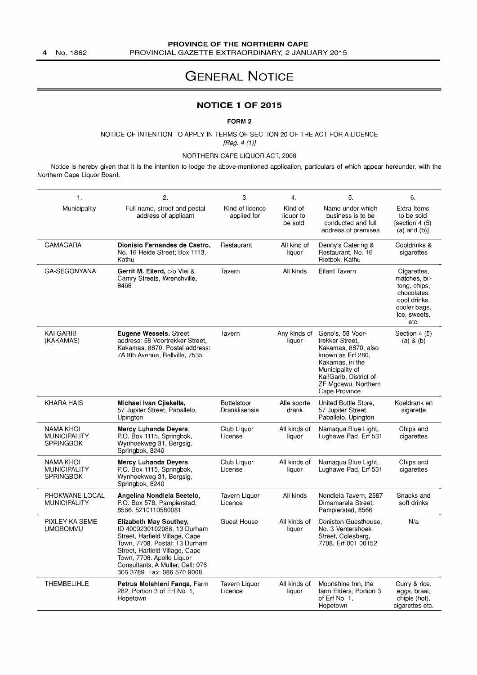# GENERAL NOTICE

### **NOTICE 1 OF** 2015

FORM 2

NOTICE OF INTENTION TO APPLY IN TERMS OF SECTION 20 OF THE ACT FOR A LICENCE [Reg. 4 (1)J

NORTHERN CAPE LIQUOR ACT, 2008

Notice is hereby given that it is the intention to lodge the above-mentioned application, particulars of which appear hereunder, with the Northern Cape Liquor Board.

| 1 <sub>1</sub>                                              | 2.                                                                                                                                                                                                                                                                 | 3.                                  | 4.                              | 5.                                                                                                                                                                                      | 6.                                                                                                                  |
|-------------------------------------------------------------|--------------------------------------------------------------------------------------------------------------------------------------------------------------------------------------------------------------------------------------------------------------------|-------------------------------------|---------------------------------|-----------------------------------------------------------------------------------------------------------------------------------------------------------------------------------------|---------------------------------------------------------------------------------------------------------------------|
| Municipality                                                | Full name, street and postal<br>address of applicant                                                                                                                                                                                                               | Kind of licence<br>applied for      | Kind of<br>liquor to<br>be sold | Name under which<br>business is to be<br>conducted and full<br>address of premises                                                                                                      | Extra Items<br>to be sold<br>[section 4 $(5)$ ]<br>$(a)$ and $(b)$ ]                                                |
| <b>GAMAGARA</b>                                             | Dionisio Fernandes de Castro,<br>No. 16 Heide Street; Box 1113,<br>Kathu                                                                                                                                                                                           | Restaurant                          | All kind of<br>liquor           | Denny's Catering &<br>Restaurant, No. 16<br>Rietbok, Kathu                                                                                                                              | Cooldrinks &<br>sigarettes                                                                                          |
| GA-SEGONYANA                                                | Gerrit M. Eilerd, c/o Vlei &<br>Camry Streets, Wrenchville,<br>8468                                                                                                                                                                                                | Tavern                              | All kinds                       | <b>Eilard Tavern</b>                                                                                                                                                                    | Cigarettes,<br>matches, bil-<br>tong, chips,<br>chocolates,<br>cool drinks,<br>cooler bags,<br>ice, sweets,<br>etc. |
| KAI!GARIB<br>(KAKAMAS)                                      | Eugene Wessels. Street<br>address: 58 Voortrekker Street.<br>Kakamas, 8870. Postal address:<br>7A 8th Avenue, Bellville, 7535                                                                                                                                      | Tavern                              | Any kinds of<br>liquor          | Geno's, 58 Voor-<br>trekker Street.<br>Kakamas, 8870, also<br>known as Erf 280,<br>Kakamas, in the<br>Municipality of<br>Kai!Garib, District of<br>ZF Mgcawu, Northern<br>Cape Province | Section 4 (5)<br>(a) 8 (b)                                                                                          |
| <b>KHARA HAIS</b>                                           | Michael Ivan Cjiekella,<br>57 Jupiter Street, Paballelo,<br>Upington                                                                                                                                                                                               | <b>Bottelstoor</b><br>Dranklisensie | Alle soorte<br>drank            | United Bottle Store,<br>57 Jupiter Street.<br>Paballelo, Upington                                                                                                                       | Koeldrank en<br>sigarette                                                                                           |
| <b>NAMA KHOI</b><br><b>MUNICIPALITY</b><br><b>SPRINGBOK</b> | Mercy Luhanda Deyers,<br>P.O. Box 1115, Springbok,<br>Wynhoekweg 31, Bergsig,<br>Springbok, 8240                                                                                                                                                                   | Club Liquor<br>License              | All kinds of<br>liquor          | Namaqua Blue Light,<br>Lughawe Pad, Erf 531                                                                                                                                             | Chips and<br>cigarettes                                                                                             |
| <b>NAMA KHOI</b><br><b>MUNICIPALITY</b><br><b>SPRINGBOK</b> | Mercy Luhanda Deyers,<br>P.O. Box 1115, Springbok,<br>Wynhoekweg 31, Bergsig,<br>Springbok, 8240                                                                                                                                                                   | Club Liguor<br>License              | All kinds of<br>liquor          | Namaqua Blue Light,<br>Lughawe Pad, Erf 531                                                                                                                                             | Chips and<br>cigarettes                                                                                             |
| PHOKWANE LOCAL<br><b>MUNICIPALITY</b>                       | Angelina Nondlela Seetelo,<br>P.O. Box 578, Pampierstad,<br>8566.5210110580081                                                                                                                                                                                     | Tavern Liquor<br>Licence            | All kinds                       | Nondlela Tavern, 2587<br>Dimamarela Street.<br>Pampierstad, 8566                                                                                                                        | Snacks and<br>soft drinks                                                                                           |
| PIXLEY KA SEME<br><b>UMOBOMVU</b>                           | <b>Elizabeth May Southey,</b><br>ID 4009230102086, 13 Durham<br>Street, Harfield Village, Cape<br>Town, 7708. Postal: 13 Durham<br>Street, Harfield Village, Cape<br>Town, 7708. Apollo Liquor<br>Consultants, A Muller, Cell: 076<br>306 3789. Fax: 086 570 9008. | <b>Guest House</b>                  | All kinds of<br>liquor          | Coniston Guesthouse<br>No. 3 Ventershoek<br>Street, Colesberg,<br>7708, Erf 001 00152                                                                                                   | N/a                                                                                                                 |
| <b>THEMBELIHLE</b>                                          | Petrus Molahleni Fanga, Farm<br>282, Portion 3 of Erf No. 1,<br>Hopetown                                                                                                                                                                                           | Tavern Liquor<br>Licence            | All kinds of<br>liquor          | Moonshine Inn, the<br>farm Elders, Portion 3<br>of Erf No. 1.<br>Hopetown                                                                                                               | Curry & rice,<br>eggs, braai,<br>chipis (hot),<br>cigarettes etc.                                                   |